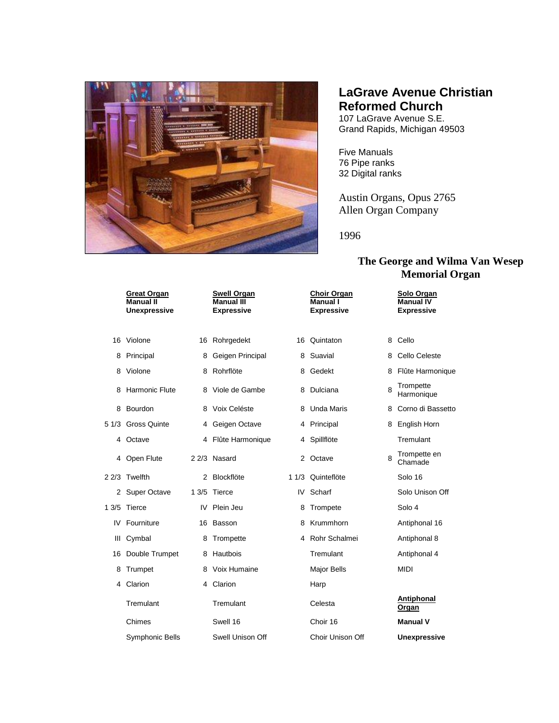

## **LaGrave Avenue Christian Reformed Church**

107 LaGrave Avenue S.E. Grand Rapids, Michigan 49503

Five Manuals 76 Pipe ranks 32 Digital ranks

Austin Organs, Opus 2765 Allen Organ Company

1996

## **The George and Wilma Van Wesep Memorial Organ**

|       | <b>Great Organ</b><br><b>Manual II</b><br><b>Unexpressive</b> |      | <b>Swell Organ</b><br><b>Manual III</b><br><b>Expressive</b> |   | <b>Choir Organ</b><br>Manual I<br><b>Expressive</b> |   | Solo Organ<br><b>Manual IV</b><br><b>Expressive</b> |
|-------|---------------------------------------------------------------|------|--------------------------------------------------------------|---|-----------------------------------------------------|---|-----------------------------------------------------|
| 16    | Violone                                                       |      | 16 Rohrgedekt                                                |   | 16 Quintaton                                        | 8 | Cello                                               |
| 8     | Principal                                                     |      | 8 Geigen Principal                                           | 8 | Suavial                                             | 8 | Cello Celeste                                       |
| 8     | Violone                                                       |      | 8 Rohrflöte                                                  |   | 8 Gedekt                                            | 8 | Flûte Harmonique                                    |
| 8     | <b>Harmonic Flute</b>                                         |      | 8 Viole de Gambe                                             |   | 8 Dulciana                                          | 8 | Trompette<br>Harmonique                             |
| 8     | Bourdon                                                       |      | 8 Voix Celéste                                               |   | 8 Unda Maris                                        | 8 | Corno di Bassetto                                   |
| 5 1/3 | <b>Gross Quinte</b>                                           |      | 4 Geigen Octave                                              |   | 4 Principal                                         | 8 | English Horn                                        |
|       | 4 Octave                                                      |      | 4 Flûte Harmonique                                           |   | 4 Spillflöte                                        |   | Tremulant                                           |
|       | 4 Open Flute                                                  |      | 2 2/3 Nasard                                                 |   | 2 Octave                                            | 8 | Trompette en<br>Chamade                             |
|       | 22/3 Twelfth                                                  | 2    | Blockflöte                                                   |   | 1 1/3 Quinteflöte                                   |   | Solo 16                                             |
| 2     | <b>Super Octave</b>                                           | 13/5 | Tierce                                                       |   | IV Scharf                                           |   | Solo Unison Off                                     |
| 13/5  | Tierce                                                        | IV   | Plein Jeu                                                    | 8 | Trompete                                            |   | Solo 4                                              |
| IV    | Fourniture                                                    | 16.  | Basson                                                       | 8 | Krummhorn                                           |   | Antiphonal 16                                       |
| Ш     | Cymbal                                                        | 8    | Trompette                                                    |   | 4 Rohr Schalmei                                     |   | Antiphonal 8                                        |
| 16    | Double Trumpet                                                | 8    | Hautbois                                                     |   | Tremulant                                           |   | Antiphonal 4                                        |
| 8     | Trumpet                                                       |      | 8 Voix Humaine                                               |   | <b>Major Bells</b>                                  |   | <b>MIDI</b>                                         |
| 4     | Clarion                                                       |      | 4 Clarion                                                    |   | Harp                                                |   |                                                     |
|       | Tremulant                                                     |      | Tremulant                                                    |   | Celesta                                             |   | <b>Antiphonal</b><br>Organ                          |
|       | Chimes                                                        |      | Swell 16                                                     |   | Choir 16                                            |   | <b>Manual V</b>                                     |
|       | Symphonic Bells                                               |      | Swell Unison Off                                             |   | Choir Unison Off                                    |   | <b>Unexpressive</b>                                 |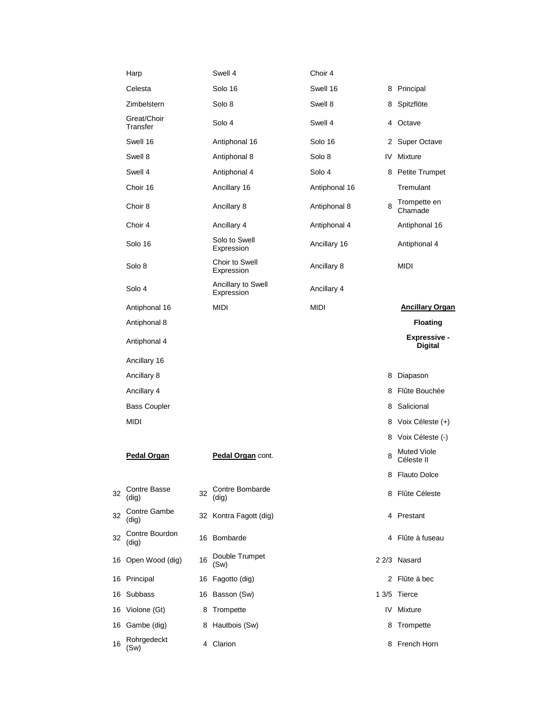|    | Harp                         |                                                                                                | Swell 4                     | Choir 4            |                    |                                       |  |
|----|------------------------------|------------------------------------------------------------------------------------------------|-----------------------------|--------------------|--------------------|---------------------------------------|--|
|    | Celesta                      |                                                                                                | Solo 16                     | Swell 16           |                    | 8 Principal                           |  |
|    | Zimbelstern                  |                                                                                                | Solo 8                      | Swell 8            |                    | 8 Spitzflöte                          |  |
|    | Great/Choir<br>Transfer      |                                                                                                | Solo 4                      | Swell 4            |                    | 4 Octave                              |  |
|    | Swell 16                     |                                                                                                | Antiphonal 16               | Solo 16            |                    | 2 Super Octave                        |  |
|    | Swell 8                      |                                                                                                | Antiphonal 8                | Solo 8             |                    | <b>IV</b> Mixture                     |  |
|    | Swell 4                      |                                                                                                | Antiphonal 4                | Solo 4             |                    | 8 Petite Trumpet                      |  |
|    | Choir 16                     |                                                                                                | Ancillary 16                | Antiphonal 16      |                    | Tremulant                             |  |
|    | Choir 8                      |                                                                                                | Ancillary 8                 | Antiphonal 8       | 8                  | Trompette en<br>Chamade               |  |
|    | Choir 4                      |                                                                                                | Ancillary 4                 | Antiphonal 4       |                    | Antiphonal 16                         |  |
|    | Solo 16                      |                                                                                                | Solo to Swell<br>Expression | Ancillary 16       |                    | Antiphonal 4                          |  |
|    | Solo 8                       | Choir to Swell<br>Ancillary 8<br>Expression<br>Ancillary to Swell<br>Ancillary 4<br>Expression |                             |                    |                    | <b>MIDI</b>                           |  |
|    | Solo 4                       |                                                                                                |                             |                    |                    |                                       |  |
|    | Antiphonal 16                |                                                                                                | <b>MIDI</b>                 | <b>MIDI</b>        |                    | <b>Ancillary Organ</b>                |  |
|    | Antiphonal 8                 |                                                                                                |                             |                    |                    | <b>Floating</b>                       |  |
|    | Antiphonal 4                 |                                                                                                |                             |                    |                    | <b>Expressive -</b><br><b>Digital</b> |  |
|    | Ancillary 16                 |                                                                                                |                             |                    |                    |                                       |  |
|    | Ancillary 8                  |                                                                                                |                             | 8 Diapason         |                    |                                       |  |
|    | Ancillary 4                  |                                                                                                |                             | 8 Flûte Bouchée    |                    |                                       |  |
|    | <b>Bass Coupler</b>          |                                                                                                |                             | 8 Salicional       |                    |                                       |  |
|    | <b>MIDI</b>                  |                                                                                                |                             | 8 Voix Céleste (+) |                    |                                       |  |
|    |                              |                                                                                                |                             |                    | 8 Voix Céleste (-) |                                       |  |
|    | Pedal Organ                  |                                                                                                | Pedal Organ cont.           |                    | 8                  | <b>Muted Viole</b><br>Céleste II      |  |
|    |                              |                                                                                                |                             |                    |                    | 8 Flauto Dolce                        |  |
| 32 | <b>Contre Basse</b><br>(dig) | 32                                                                                             | Contre Bombarde<br>(dig)    |                    |                    | 8 Flûte Céleste                       |  |
| 32 | Contre Gambe<br>(dig)        |                                                                                                | 32 Kontra Fagott (dig)      |                    |                    | 4 Prestant                            |  |
| 32 | Contre Bourdon<br>(dig)      |                                                                                                | 16 Bombarde                 | 4 Flûte à fuseau   |                    |                                       |  |
|    | 16 Open Wood (dig)           | 16                                                                                             | Double Trumpet<br>(Sw)      |                    |                    | 2 2/3 Nasard                          |  |
| 16 | Principal                    |                                                                                                | 16 Fagotto (dig)            |                    |                    | 2 Flûte à bec                         |  |
| 16 | Subbass                      |                                                                                                | 16 Basson (Sw)              |                    | 13/5               | Tierce                                |  |
| 16 | Violone (Gt)                 | 8                                                                                              | Trompette                   |                    | IV                 | Mixture                               |  |
| 16 | Gambe (dig)                  |                                                                                                | 8 Hautbois (Sw)             |                    | 8                  | Trompette                             |  |
| 16 | Rohrgedeckt<br>(Sw)          |                                                                                                | 4 Clarion                   |                    |                    | 8 French Horn                         |  |